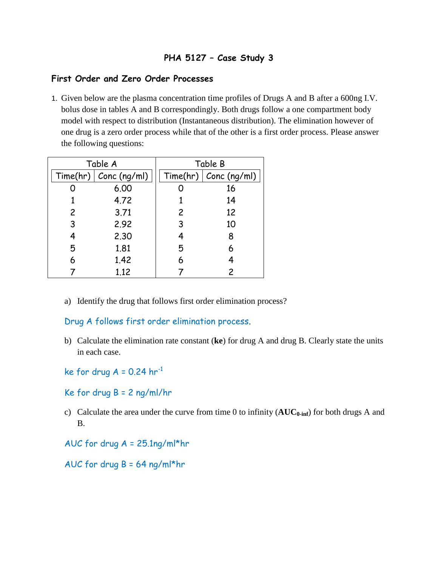# **PHA 5127 – Case Study 3**

### **First Order and Zero Order Processes**

1. Given below are the plasma concentration time profiles of Drugs A and B after a 600ng I.V. bolus dose in tables A and B correspondingly. Both drugs follow a one compartment body model with respect to distribution (Instantaneous distribution). The elimination however of one drug is a zero order process while that of the other is a first order process. Please answer the following questions:

| Table A        |                         | Table B        |                         |
|----------------|-------------------------|----------------|-------------------------|
|                | Time(hr)   Conc (ng/ml) |                | Time(hr)   Conc (ng/ml) |
|                | 6.00                    |                | 16                      |
|                | 4.72                    |                | 14                      |
| $\overline{c}$ | 3.71                    | $\overline{2}$ | 12                      |
| 3              | 2.92                    | 3              | 10                      |
| 4              | 2.30                    | 4              | 8                       |
| 5              | 1.81                    | 5              | 6                       |
| 6              | 1.42                    | 6              |                         |
|                | 1.12                    |                | 2                       |

a) Identify the drug that follows first order elimination process?

Drug A follows first order elimination process.

- b) Calculate the elimination rate constant (**ke**) for drug A and drug B. Clearly state the units in each case.
- ke for drug  $A = 0.24$  hr<sup>-1</sup>
- Ke for drug B = 2 ng/ml/hr
- c) Calculate the area under the curve from time 0 to infinity (**AUC0-inf**) for both drugs A and B.
- AUC for drug A = 25.1ng/ml\*hr
- AUC for drug B = 64 ng/ml\*hr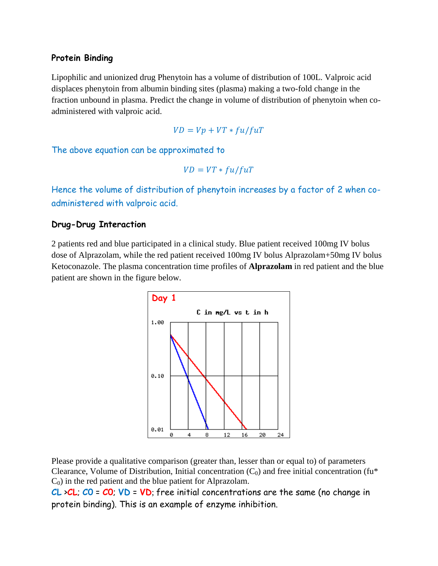## **Protein Binding**

Lipophilic and unionized drug Phenytoin has a volume of distribution of 100L. Valproic acid displaces phenytoin from albumin binding sites (plasma) making a two-fold change in the fraction unbound in plasma. Predict the change in volume of distribution of phenytoin when coadministered with valproic acid.

$$
VD = Vp + VT * fu/fuT
$$

The above equation can be approximated to

$$
VD = VT * fu/fuT
$$

Hence the volume of distribution of phenytoin increases by a factor of 2 when coadministered with valproic acid.

### **Drug-Drug Interaction**

2 patients red and blue participated in a clinical study. Blue patient received 100mg IV bolus dose of Alprazolam, while the red patient received 100mg IV bolus Alprazolam+50mg IV bolus Ketoconazole. The plasma concentration time profiles of **Alprazolam** in red patient and the blue patient are shown in the figure below.



Please provide a qualitative comparison (greater than, lesser than or equal to) of parameters Clearance, Volume of Distribution, Initial concentration  $(C_0)$  and free initial concentration (fu<sup>\*</sup>  $C_0$ ) in the red patient and the blue patient for Alprazolam.

**CL** >**CL**; **C0** = **C0**; **VD** = **VD**; free initial concentrations are the same (no change in protein binding). This is an example of enzyme inhibition.